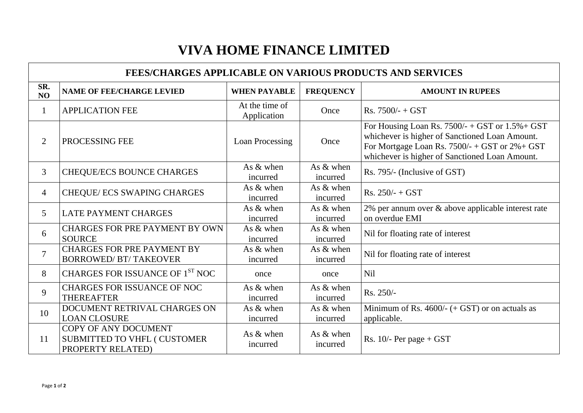## $F_s$ . 7500/- + GST or 1.5%+ GST of Sanctioned Loan Amount.  $Rs. 7500/- + GST$  or  $2% + GST$ of Sanctioned Loan Amount. & above applicable interest rate

### **VIVA HOME FINANCE LIMITED**

| <b>FEES/CHARGES APPLICABLE ON VARIOUS PRODUCTS AND SERVICES</b> |                                                                                         |                               |                         |                                                                                                                                                                                                               |  |  |  |
|-----------------------------------------------------------------|-----------------------------------------------------------------------------------------|-------------------------------|-------------------------|---------------------------------------------------------------------------------------------------------------------------------------------------------------------------------------------------------------|--|--|--|
| SR.<br>NO                                                       | <b>NAME OF FEE/CHARGE LEVIED</b>                                                        | <b>WHEN PAYABLE</b>           | <b>FREQUENCY</b>        | <b>AMOUNT IN RUPEES</b>                                                                                                                                                                                       |  |  |  |
|                                                                 | <b>APPLICATION FEE</b>                                                                  | At the time of<br>Application | Once                    | $Rs. 7500/- + GST$                                                                                                                                                                                            |  |  |  |
| $\overline{2}$                                                  | PROCESSING FEE                                                                          | <b>Loan Processing</b>        | Once                    | For Housing Loan Rs. $7500/- + GST$ or $1.5% + G$ .<br>whichever is higher of Sanctioned Loan Amount.<br>For Mortgage Loan Rs. $7500/- + GST$ or $2% + GST$<br>whichever is higher of Sanctioned Loan Amount. |  |  |  |
| $\overline{3}$                                                  | <b>CHEQUE/ECS BOUNCE CHARGES</b>                                                        | As $&$ when<br>incurred       | As $&$ when<br>incurred | Rs. 795/- (Inclusive of GST)                                                                                                                                                                                  |  |  |  |
| $\overline{4}$                                                  | <b>CHEQUE/ ECS SWAPING CHARGES</b>                                                      | As $&$ when<br>incurred       | As $&$ when<br>incurred | $Rs. 250/- + GST$                                                                                                                                                                                             |  |  |  |
| 5                                                               | <b>LATE PAYMENT CHARGES</b>                                                             | As $&$ when<br>incurred       | As $&$ when<br>incurred | 2% per annum over & above applicable interest ra<br>on overdue EMI                                                                                                                                            |  |  |  |
| 6                                                               | <b>CHARGES FOR PRE PAYMENT BY OWN</b><br><b>SOURCE</b>                                  | As $&$ when<br>incurred       | As $&$ when<br>incurred | Nil for floating rate of interest                                                                                                                                                                             |  |  |  |
| $\overline{7}$                                                  | <b>CHARGES FOR PRE PAYMENT BY</b><br><b>BORROWED/ BT/ TAKEOVER</b>                      | As & when<br>incurred         | As $&$ when<br>incurred | Nil for floating rate of interest                                                                                                                                                                             |  |  |  |
| 8                                                               | CHARGES FOR ISSUANCE OF 1ST NOC                                                         | once                          | once                    | <b>Nil</b>                                                                                                                                                                                                    |  |  |  |
| 9                                                               | <b>CHARGES FOR ISSUANCE OF NOC</b><br><b>THEREAFTER</b>                                 | As & when<br>incurred         | As $&$ when<br>incurred | $Rs. 250/-$                                                                                                                                                                                                   |  |  |  |
| 10                                                              | DOCUMENT RETRIVAL CHARGES ON<br><b>LOAN CLOSURE</b>                                     | As $&$ when<br>incurred       | As $&$ when<br>incurred | Minimum of Rs. 4600/- $(+$ GST) or on actuals as<br>applicable.                                                                                                                                               |  |  |  |
| 11                                                              | <b>COPY OF ANY DOCUMENT</b><br><b>SUBMITTED TO VHFL ( CUSTOMER</b><br>PROPERTY RELATED) | As $&$ when<br>incurred       | As $&$ when<br>incurred | Rs. $10/-$ Per page + GST                                                                                                                                                                                     |  |  |  |